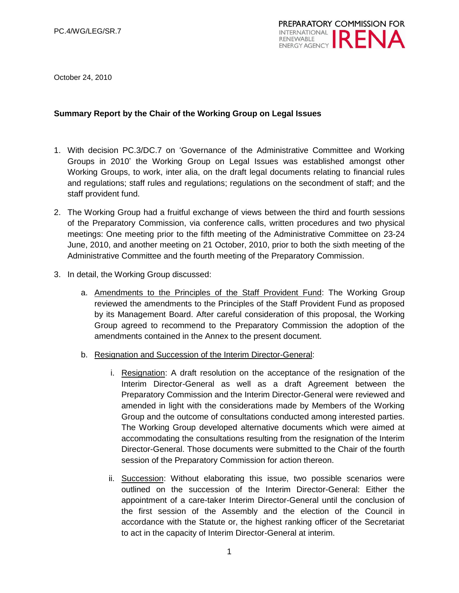

October 24, 2010

#### **Summary Report by the Chair of the Working Group on Legal Issues**

- 1. With decision PC.3/DC.7 on "Governance of the Administrative Committee and Working Groups in 2010" the Working Group on Legal Issues was established amongst other Working Groups, to work, inter alia, on the draft legal documents relating to financial rules and regulations; staff rules and regulations; regulations on the secondment of staff; and the staff provident fund.
- 2. The Working Group had a fruitful exchange of views between the third and fourth sessions of the Preparatory Commission, via conference calls, written procedures and two physical meetings: One meeting prior to the fifth meeting of the Administrative Committee on 23-24 June, 2010, and another meeting on 21 October, 2010, prior to both the sixth meeting of the Administrative Committee and the fourth meeting of the Preparatory Commission.
- 3. In detail, the Working Group discussed:
	- a. Amendments to the Principles of the Staff Provident Fund: The Working Group reviewed the amendments to the Principles of the Staff Provident Fund as proposed by its Management Board. After careful consideration of this proposal, the Working Group agreed to recommend to the Preparatory Commission the adoption of the amendments contained in the Annex to the present document.
	- b. Resignation and Succession of the Interim Director-General:
		- i. Resignation: A draft resolution on the acceptance of the resignation of the Interim Director-General as well as a draft Agreement between the Preparatory Commission and the Interim Director-General were reviewed and amended in light with the considerations made by Members of the Working Group and the outcome of consultations conducted among interested parties. The Working Group developed alternative documents which were aimed at accommodating the consultations resulting from the resignation of the Interim Director-General. Those documents were submitted to the Chair of the fourth session of the Preparatory Commission for action thereon.
		- ii. Succession: Without elaborating this issue, two possible scenarios were outlined on the succession of the Interim Director-General: Either the appointment of a care-taker Interim Director-General until the conclusion of the first session of the Assembly and the election of the Council in accordance with the Statute or, the highest ranking officer of the Secretariat to act in the capacity of Interim Director-General at interim.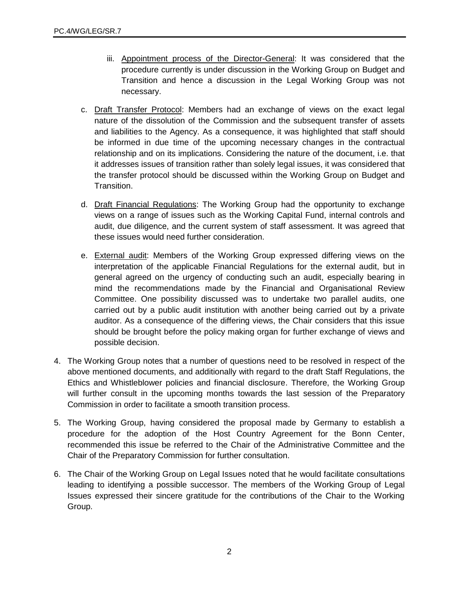- iii. Appointment process of the Director-General: It was considered that the procedure currently is under discussion in the Working Group on Budget and Transition and hence a discussion in the Legal Working Group was not necessary.
- c. Draft Transfer Protocol: Members had an exchange of views on the exact legal nature of the dissolution of the Commission and the subsequent transfer of assets and liabilities to the Agency. As a consequence, it was highlighted that staff should be informed in due time of the upcoming necessary changes in the contractual relationship and on its implications. Considering the nature of the document, i.e. that it addresses issues of transition rather than solely legal issues, it was considered that the transfer protocol should be discussed within the Working Group on Budget and Transition.
- d. Draft Financial Regulations: The Working Group had the opportunity to exchange views on a range of issues such as the Working Capital Fund, internal controls and audit, due diligence, and the current system of staff assessment. It was agreed that these issues would need further consideration.
- e. **External audit:** Members of the Working Group expressed differing views on the interpretation of the applicable Financial Regulations for the external audit, but in general agreed on the urgency of conducting such an audit, especially bearing in mind the recommendations made by the Financial and Organisational Review Committee. One possibility discussed was to undertake two parallel audits, one carried out by a public audit institution with another being carried out by a private auditor. As a consequence of the differing views, the Chair considers that this issue should be brought before the policy making organ for further exchange of views and possible decision.
- 4. The Working Group notes that a number of questions need to be resolved in respect of the above mentioned documents, and additionally with regard to the draft Staff Regulations, the Ethics and Whistleblower policies and financial disclosure. Therefore, the Working Group will further consult in the upcoming months towards the last session of the Preparatory Commission in order to facilitate a smooth transition process.
- 5. The Working Group, having considered the proposal made by Germany to establish a procedure for the adoption of the Host Country Agreement for the Bonn Center, recommended this issue be referred to the Chair of the Administrative Committee and the Chair of the Preparatory Commission for further consultation.
- 6. The Chair of the Working Group on Legal Issues noted that he would facilitate consultations leading to identifying a possible successor. The members of the Working Group of Legal Issues expressed their sincere gratitude for the contributions of the Chair to the Working Group.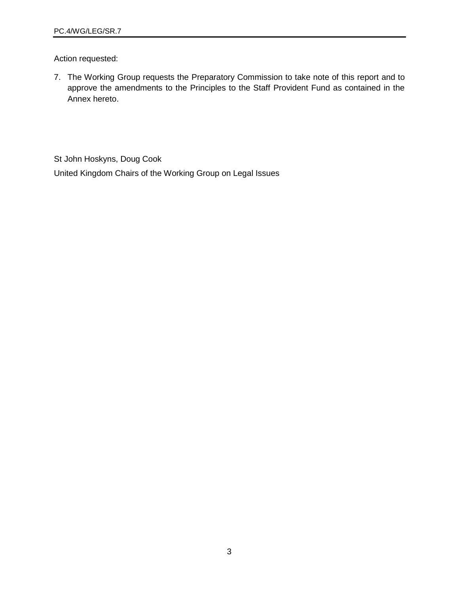Action requested:

7. The Working Group requests the Preparatory Commission to take note of this report and to approve the amendments to the Principles to the Staff Provident Fund as contained in the Annex hereto.

St John Hoskyns, Doug Cook United Kingdom Chairs of the Working Group on Legal Issues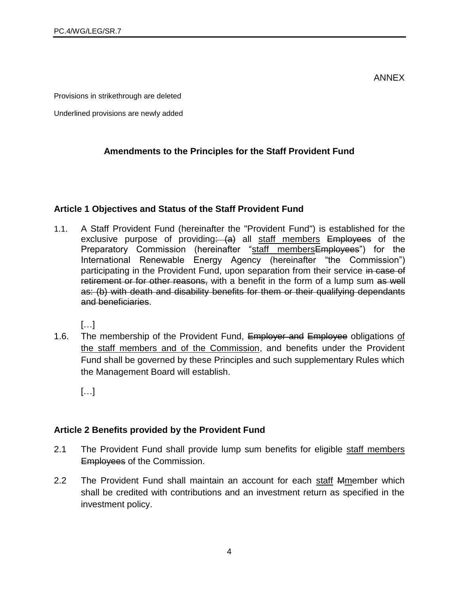ANNEX

Provisions in strikethrough are deleted

Underlined provisions are newly added

## **Amendments to the Principles for the Staff Provident Fund**

#### **Article 1 Objectives and Status of the Staff Provident Fund**

1.1. A Staff Provident Fund (hereinafter the "Provident Fund") is established for the exclusive purpose of providing:  $(a)$  all staff members Employees of the Preparatory Commission (hereinafter "staff membersEmployees") for the International Renewable Energy Agency (hereinafter "the Commission") participating in the Provident Fund, upon separation from their service in case of retirement or for other reasons, with a benefit in the form of a lump sum as well as: (b) with death and disability benefits for them or their qualifying dependants and beneficiaries.

[…]

1.6. The membership of the Provident Fund, Employer and Employee obligations of the staff members and of the Commission, and benefits under the Provident Fund shall be governed by these Principles and such supplementary Rules which the Management Board will establish.

[…]

#### **Article 2 Benefits provided by the Provident Fund**

- 2.1 The Provident Fund shall provide lump sum benefits for eligible staff members Employees of the Commission.
- 2.2 The Provident Fund shall maintain an account for each staff Mmember which shall be credited with contributions and an investment return as specified in the investment policy.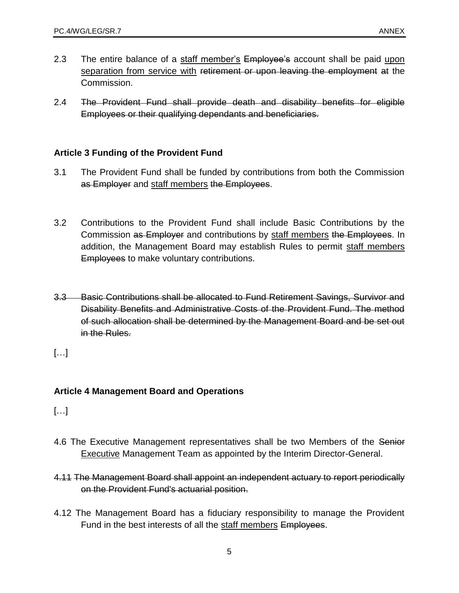- 2.3 The entire balance of a staff member's Employee's account shall be paid upon separation from service with retirement or upon leaving the employment at the Commission.
- 2.4 The Provident Fund shall provide death and disability benefits for eligible Employees or their qualifying dependants and beneficiaries.

## **Article 3 Funding of the Provident Fund**

- 3.1 The Provident Fund shall be funded by contributions from both the Commission as Employer and staff members the Employees.
- 3.2 Contributions to the Provident Fund shall include Basic Contributions by the Commission as Employer and contributions by staff members the Employees. In addition, the Management Board may establish Rules to permit staff members **Employees to make voluntary contributions.**
- 3.3 Basic Contributions shall be allocated to Fund Retirement Savings, Survivor and Disability Benefits and Administrative Costs of the Provident Fund. The method of such allocation shall be determined by the Management Board and be set out in the Rules.
- […]

## **Article 4 Management Board and Operations**

[…]

- 4.6 The Executive Management representatives shall be two Members of the Senior Executive Management Team as appointed by the Interim Director-General.
- 4.11 The Management Board shall appoint an independent actuary to report periodically on the Provident Fund's actuarial position.
- 4.12 The Management Board has a fiduciary responsibility to manage the Provident Fund in the best interests of all the staff members Employees.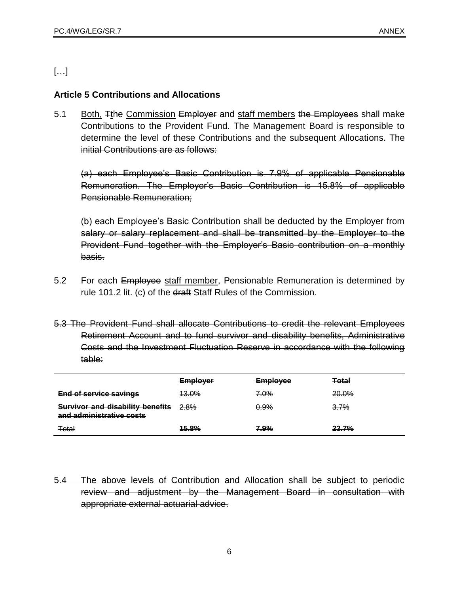# […]

## **Article 5 Contributions and Allocations**

5.1 Both, Tthe Commission Employer and staff members the Employees shall make Contributions to the Provident Fund. The Management Board is responsible to determine the level of these Contributions and the subsequent Allocations. The initial Contributions are as follows:

(a) each Employee"s Basic Contribution is 7.9% of applicable Pensionable Remuneration. The Employer"s Basic Contribution is 15.8% of applicable Pensionable Remuneration;

(b) each Employee"s Basic Contribution shall be deducted by the Employer from salary or salary replacement and shall be transmitted by the Employer to the Provident Fund together with the Employer"s Basic contribution on a monthly basis.

- 5.2 For each Employee staff member, Pensionable Remuneration is determined by rule 101.2 lit. (c) of the draft Staff Rules of the Commission.
- 5.3 The Provident Fund shall allocate Contributions to credit the relevant Employees Retirement Account and to fund survivor and disability benefits, Administrative Costs and the Investment Fluctuation Reserve in accordance with the following table:

|                                                                     | <b>Employer</b>  | <b>Employee</b> | <b>Total</b> |
|---------------------------------------------------------------------|------------------|-----------------|--------------|
| <b>End of service savings</b>                                       | <del>13.0%</del> | 7.0%            | <b>20.0%</b> |
| <b>Survivor and disability benefits</b><br>and administrative costs | 2.8%             | 0.9%            | 3.7%         |
| Total                                                               | <b>15.8%</b>     | 7.9%            | <b>23.7%</b> |

5.4 The above levels of Contribution and Allocation shall be subject to periodic review and adjustment by the Management Board in consultation with appropriate external actuarial advice.